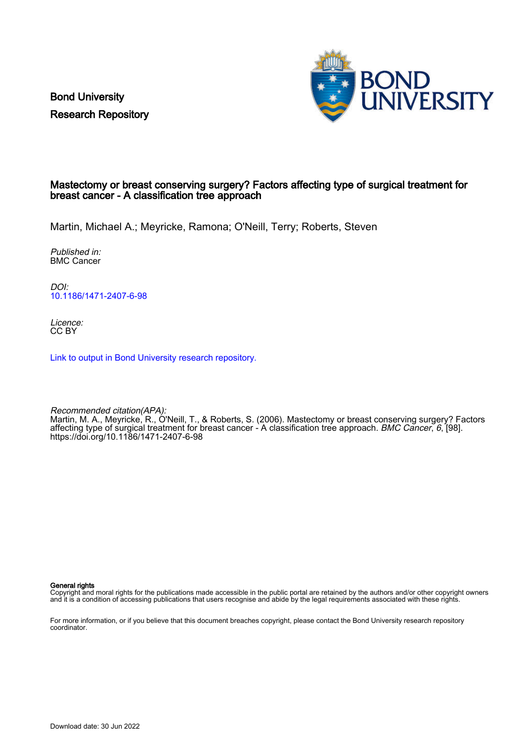Bond University Research Repository



# Mastectomy or breast conserving surgery? Factors affecting type of surgical treatment for breast cancer - A classification tree approach

Martin, Michael A.; Meyricke, Ramona; O'Neill, Terry; Roberts, Steven

Published in: BMC Cancer

DOI: [10.1186/1471-2407-6-98](https://doi.org/10.1186/1471-2407-6-98)

Licence: CC BY

[Link to output in Bond University research repository.](https://research.bond.edu.au/en/publications/33ca8403-4beb-468c-bc97-014690173e83)

Recommended citation(APA): Martin, M. A., Meyricke, R., O'Neill, T., & Roberts, S. (2006). Mastectomy or breast conserving surgery? Factors affecting type of surgical treatment for breast cancer - A classification tree approach. BMC Cancer, 6, [98]. <https://doi.org/10.1186/1471-2407-6-98>

General rights

Copyright and moral rights for the publications made accessible in the public portal are retained by the authors and/or other copyright owners and it is a condition of accessing publications that users recognise and abide by the legal requirements associated with these rights.

For more information, or if you believe that this document breaches copyright, please contact the Bond University research repository coordinator.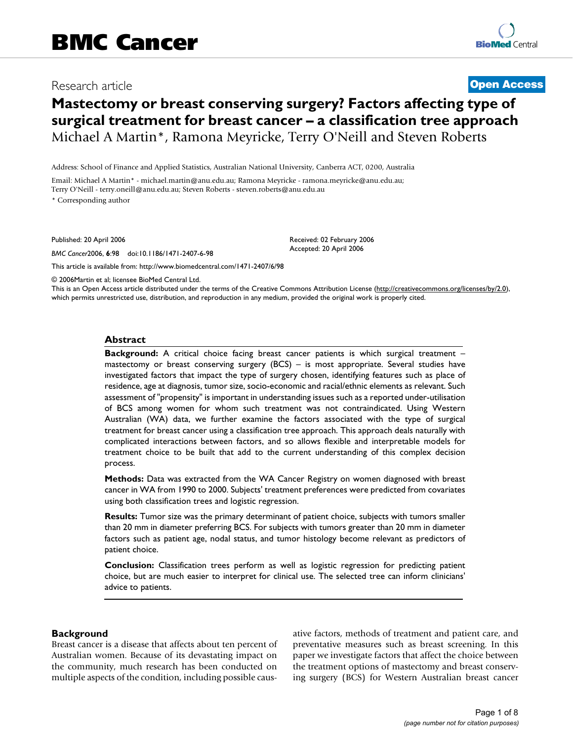# Research article **[Open Access](http://www.biomedcentral.com/info/about/charter/)**

# **Mastectomy or breast conserving surgery? Factors affecting type of surgical treatment for breast cancer – a classification tree approach** Michael A Martin\*, Ramona Meyricke, Terry O'Neill and Steven Roberts

Address: School of Finance and Applied Statistics, Australian National University, Canberra ACT, 0200, Australia

Email: Michael A Martin\* - michael.martin@anu.edu.au; Ramona Meyricke - ramona.meyricke@anu.edu.au; Terry O'Neill - terry.oneill@anu.edu.au; Steven Roberts - steven.roberts@anu.edu.au

\* Corresponding author

Published: 20 April 2006

*BMC Cancer*2006, **6**:98 doi:10.1186/1471-2407-6-98

[This article is available from: http://www.biomedcentral.com/1471-2407/6/98](http://www.biomedcentral.com/1471-2407/6/98)

© 2006Martin et al; licensee BioMed Central Ltd.

This is an Open Access article distributed under the terms of the Creative Commons Attribution License [\(http://creativecommons.org/licenses/by/2.0\)](http://creativecommons.org/licenses/by/2.0), which permits unrestricted use, distribution, and reproduction in any medium, provided the original work is properly cited.

Received: 02 February 2006 Accepted: 20 April 2006

#### **Abstract**

**Background:** A critical choice facing breast cancer patients is which surgical treatment mastectomy or breast conserving surgery (BCS) – is most appropriate. Several studies have investigated factors that impact the type of surgery chosen, identifying features such as place of residence, age at diagnosis, tumor size, socio-economic and racial/ethnic elements as relevant. Such assessment of "propensity" is important in understanding issues such as a reported under-utilisation of BCS among women for whom such treatment was not contraindicated. Using Western Australian (WA) data, we further examine the factors associated with the type of surgical treatment for breast cancer using a classification tree approach. This approach deals naturally with complicated interactions between factors, and so allows flexible and interpretable models for treatment choice to be built that add to the current understanding of this complex decision process.

**Methods:** Data was extracted from the WA Cancer Registry on women diagnosed with breast cancer in WA from 1990 to 2000. Subjects' treatment preferences were predicted from covariates using both classification trees and logistic regression.

**Results:** Tumor size was the primary determinant of patient choice, subjects with tumors smaller than 20 mm in diameter preferring BCS. For subjects with tumors greater than 20 mm in diameter factors such as patient age, nodal status, and tumor histology become relevant as predictors of patient choice.

**Conclusion:** Classification trees perform as well as logistic regression for predicting patient choice, but are much easier to interpret for clinical use. The selected tree can inform clinicians' advice to patients.

#### **Background**

Breast cancer is a disease that affects about ten percent of Australian women. Because of its devastating impact on the community, much research has been conducted on multiple aspects of the condition, including possible causative factors, methods of treatment and patient care, and preventative measures such as breast screening. In this paper we investigate factors that affect the choice between the treatment options of mastectomy and breast conserving surgery (BCS) for Western Australian breast cancer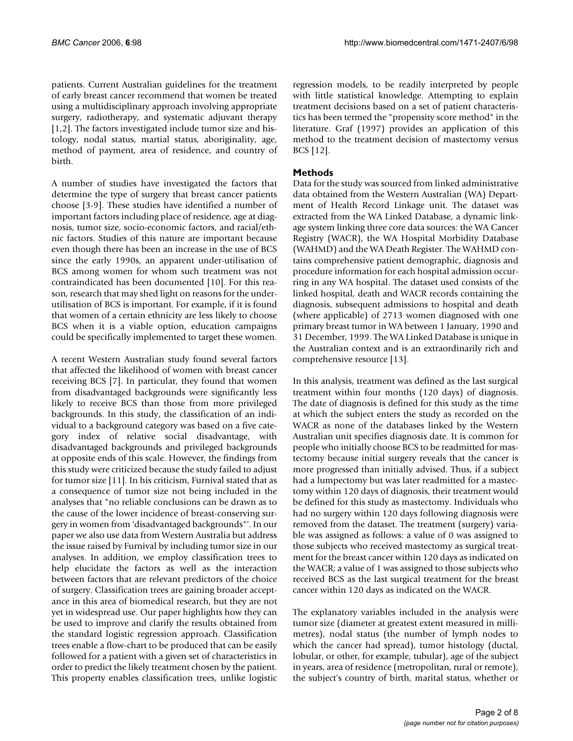patients. Current Australian guidelines for the treatment of early breast cancer recommend that women be treated using a multidisciplinary approach involving appropriate surgery, radiotherapy, and systematic adjuvant therapy [1,2]. The factors investigated include tumor size and histology, nodal status, martial status, aboriginality, age, method of payment, area of residence, and country of birth.

A number of studies have investigated the factors that determine the type of surgery that breast cancer patients choose [3-9]. These studies have identified a number of important factors including place of residence, age at diagnosis, tumor size, socio-economic factors, and racial/ethnic factors. Studies of this nature are important because even though there has been an increase in the use of BCS since the early 1990s, an apparent under-utilisation of BCS among women for whom such treatment was not contraindicated has been documented [10]. For this reason, research that may shed light on reasons for the underutilisation of BCS is important. For example, if it is found that women of a certain ethnicity are less likely to choose BCS when it is a viable option, education campaigns could be specifically implemented to target these women.

A recent Western Australian study found several factors that affected the likelihood of women with breast cancer receiving BCS [7]. In particular, they found that women from disadvantaged backgrounds were significantly less likely to receive BCS than those from more privileged backgrounds. In this study, the classification of an individual to a background category was based on a five category index of relative social disadvantage, with disadvantaged backgrounds and privileged backgrounds at opposite ends of this scale. However, the findings from this study were criticized because the study failed to adjust for tumor size [11]. In his criticism, Furnival stated that as a consequence of tumor size not being included in the analyses that "no reliable conclusions can be drawn as to the cause of the lower incidence of breast-conserving surgery in women from 'disadvantaged backgrounds"'. In our paper we also use data from Western Australia but address the issue raised by Furnival by including tumor size in our analyses. In addition, we employ classification trees to help elucidate the factors as well as the interaction between factors that are relevant predictors of the choice of surgery. Classification trees are gaining broader acceptance in this area of biomedical research, but they are not yet in widespread use. Our paper highlights how they can be used to improve and clarify the results obtained from the standard logistic regression approach. Classification trees enable a flow-chart to be produced that can be easily followed for a patient with a given set of characteristics in order to predict the likely treatment chosen by the patient. This property enables classification trees, unlike logistic

regression models, to be readily interpreted by people with little statistical knowledge. Attempting to explain treatment decisions based on a set of patient characteristics has been termed the "propensity score method" in the literature. Graf (1997) provides an application of this method to the treatment decision of mastectomy versus BCS [12].

# **Methods**

Data for the study was sourced from linked administrative data obtained from the Western Australian (WA) Department of Health Record Linkage unit. The dataset was extracted from the WA Linked Database, a dynamic linkage system linking three core data sources: the WA Cancer Registry (WACR), the WA Hospital Morbidity Database (WAHMD) and the WA Death Register. The WAHMD contains comprehensive patient demographic, diagnosis and procedure information for each hospital admission occurring in any WA hospital. The dataset used consists of the linked hospital, death and WACR records containing the diagnosis, subsequent admissions to hospital and death (where applicable) of 2713 women diagnosed with one primary breast tumor in WA between 1 January, 1990 and 31 December, 1999. The WA Linked Database is unique in the Australian context and is an extraordinarily rich and comprehensive resource [13].

In this analysis, treatment was defined as the last surgical treatment within four months (120 days) of diagnosis. The date of diagnosis is defined for this study as the time at which the subject enters the study as recorded on the WACR as none of the databases linked by the Western Australian unit specifies diagnosis date. It is common for people who initially choose BCS to be readmitted for mastectomy because initial surgery reveals that the cancer is more progressed than initially advised. Thus, if a subject had a lumpectomy but was later readmitted for a mastectomy within 120 days of diagnosis, their treatment would be defined for this study as mastectomy. Individuals who had no surgery within 120 days following diagnosis were removed from the dataset. The treatment (surgery) variable was assigned as follows: a value of 0 was assigned to those subjects who received mastectomy as surgical treatment for the breast cancer within 120 days as indicated on the WACR; a value of 1 was assigned to those subjects who received BCS as the last surgical treatment for the breast cancer within 120 days as indicated on the WACR.

The explanatory variables included in the analysis were tumor size (diameter at greatest extent measured in millimetres), nodal status (the number of lymph nodes to which the cancer had spread), tumor histology (ductal, lobular, or other, for example, tubular), age of the subject in years, area of residence (metropolitan, rural or remote), the subject's country of birth, marital status, whether or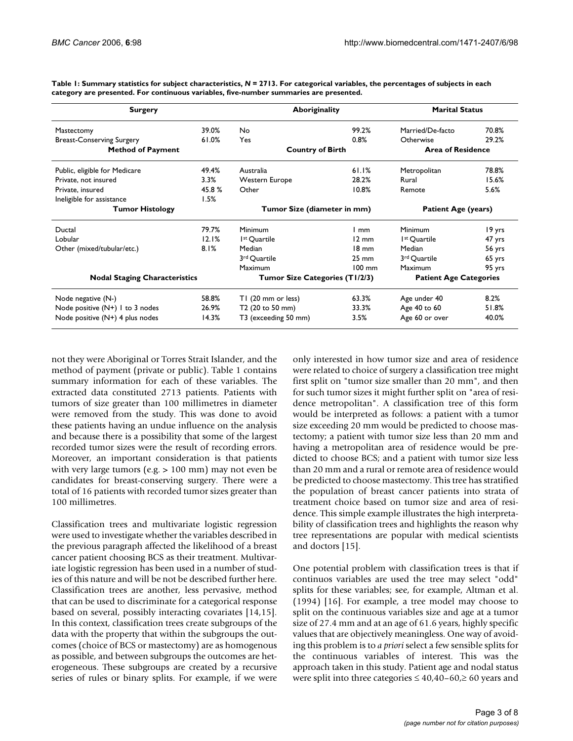| <b>Surgery</b>                       |       | Aboriginality                         |                  | <b>Marital Status</b>         |        |
|--------------------------------------|-------|---------------------------------------|------------------|-------------------------------|--------|
| Mastectomy                           | 39.0% | No                                    | 99.2%            | Married/De-facto              | 70.8%  |
| <b>Breast-Conserving Surgery</b>     | 61.0% | Yes                                   | 0.8%             | Otherwise                     | 29.2%  |
| <b>Method of Payment</b>             |       | <b>Country of Birth</b>               |                  | <b>Area of Residence</b>      |        |
| Public, eligible for Medicare        | 49.4% | Australia                             | 61.1%            | Metropolitan                  | 78.8%  |
| Private, not insured                 | 3.3%  | Western Europe                        | 28.2%            | Rural                         | 15.6%  |
| Private, insured                     | 45.8% | Other                                 | 10.8%            | Remote                        | 5.6%   |
| Ineligible for assistance            | 1.5%  |                                       |                  |                               |        |
| <b>Tumor Histology</b>               |       | Tumor Size (diameter in mm)           |                  | <b>Patient Age (years)</b>    |        |
| Ductal                               | 79.7% | Minimum                               | l mm             | Minimum                       | 19 yrs |
| Lobular                              | 12.1% | I <sup>st</sup> Quartile              | $12 \text{ mm}$  | I <sup>st</sup> Ouartile      | 47 yrs |
| Other (mixed/tubular/etc.)           | 8.1%  | Median                                | $18 \text{ mm}$  | Median                        | 56 yrs |
|                                      |       | 3rd Quartile                          | $25 \text{ mm}$  | 3rd Quartile                  | 65 yrs |
|                                      |       | Maximum                               | $100 \text{ mm}$ | Maximum                       | 95 yrs |
| <b>Nodal Staging Characteristics</b> |       | <b>Tumor Size Categories (T1/2/3)</b> |                  | <b>Patient Age Categories</b> |        |
| Node negative (N-)                   | 58.8% | T1 (20 mm or less)                    | 63.3%            | Age under 40                  | 8.2%   |
| Node positive $(N+)$ 1 to 3 nodes    | 26.9% | T <sub>2</sub> (20 to 50 mm)          | 33.3%            | Age 40 to 60                  | 51.8%  |
| Node positive (N+) 4 plus nodes      | 14.3% | T3 (exceeding 50 mm)                  | 3.5%             | Age 60 or over                | 40.0%  |

Table 1: Summary statistics for subject characteristics,  $N = 2713$ . For categorical variables, the percentages of subjects in each **category are presented. For continuous variables, five-number summaries are presented.**

not they were Aboriginal or Torres Strait Islander, and the method of payment (private or public). Table 1 contains summary information for each of these variables. The extracted data constituted 2713 patients. Patients with tumors of size greater than 100 millimetres in diameter were removed from the study. This was done to avoid these patients having an undue influence on the analysis and because there is a possibility that some of the largest recorded tumor sizes were the result of recording errors. Moreover, an important consideration is that patients with very large tumors (e.g. > 100 mm) may not even be candidates for breast-conserving surgery. There were a total of 16 patients with recorded tumor sizes greater than 100 millimetres.

Classification trees and multivariate logistic regression were used to investigate whether the variables described in the previous paragraph affected the likelihood of a breast cancer patient choosing BCS as their treatment. Multivariate logistic regression has been used in a number of studies of this nature and will be not be described further here. Classification trees are another, less pervasive, method that can be used to discriminate for a categorical response based on several, possibly interacting covariates [14,15]. In this context, classification trees create subgroups of the data with the property that within the subgroups the outcomes (choice of BCS or mastectomy) are as homogenous as possible, and between subgroups the outcomes are heterogeneous. These subgroups are created by a recursive series of rules or binary splits. For example, if we were only interested in how tumor size and area of residence were related to choice of surgery a classification tree might first split on "tumor size smaller than 20 mm", and then for such tumor sizes it might further split on "area of residence metropolitan". A classification tree of this form would be interpreted as follows: a patient with a tumor size exceeding 20 mm would be predicted to choose mastectomy; a patient with tumor size less than 20 mm and having a metropolitan area of residence would be predicted to choose BCS; and a patient with tumor size less than 20 mm and a rural or remote area of residence would be predicted to choose mastectomy. This tree has stratified the population of breast cancer patients into strata of treatment choice based on tumor size and area of residence. This simple example illustrates the high interpretability of classification trees and highlights the reason why tree representations are popular with medical scientists and doctors [15].

One potential problem with classification trees is that if continuos variables are used the tree may select "odd" splits for these variables; see, for example, Altman et al. (1994) [16]. For example, a tree model may choose to split on the continuous variables size and age at a tumor size of 27.4 mm and at an age of 61.6 years, highly specific values that are objectively meaningless. One way of avoiding this problem is to *a priori* select a few sensible splits for the continuous variables of interest. This was the approach taken in this study. Patient age and nodal status were split into three categories  $\leq 40,40-60, \geq 60$  years and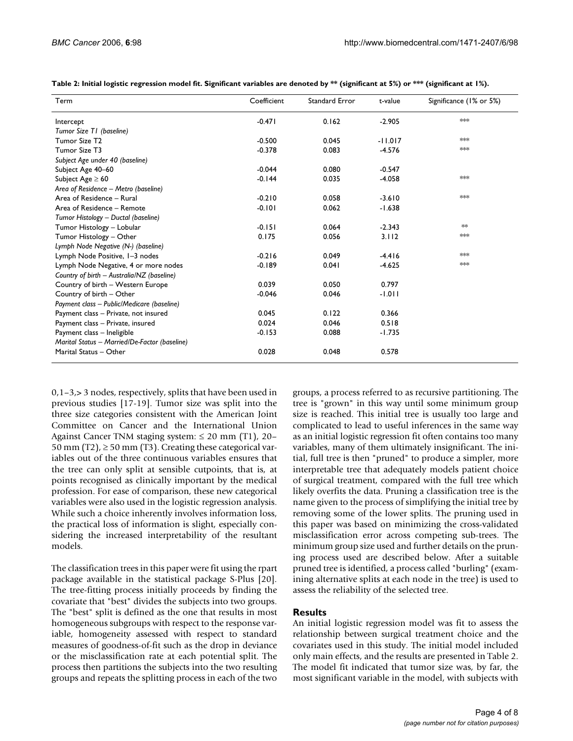| Term                                          | Coefficient | Standard Error | t-value   | Significance (1% or 5%) |
|-----------------------------------------------|-------------|----------------|-----------|-------------------------|
| Intercept                                     | $-0.471$    | 0.162          | $-2.905$  | $*$                     |
| Tumor Size T1 (baseline)                      |             |                |           |                         |
| Tumor Size T2                                 | $-0.500$    | 0.045          | $-11.017$ | $*$                     |
| Tumor Size T3                                 | $-0.378$    | 0.083          | $-4.576$  | $*$                     |
| Subject Age under 40 (baseline)               |             |                |           |                         |
| Subject Age 40-60                             | $-0.044$    | 0.080          | $-0.547$  |                         |
| Subject Age $\geq 60$                         | $-0.144$    | 0.035          | $-4.058$  | $*$                     |
| Area of Residence - Metro (baseline)          |             |                |           |                         |
| Area of Residence - Rural                     | $-0.210$    | 0.058          | $-3.610$  | $*$                     |
| Area of Residence - Remote                    | $-0.101$    | 0.062          | $-1.638$  |                         |
| Tumor Histology - Ductal (baseline)           |             |                |           |                         |
| Tumor Histology - Lobular                     | $-0.151$    | 0.064          | $-2.343$  | ≯∞k                     |
| Tumor Histology - Other                       | 0.175       | 0.056          | 3.112     | $*$                     |
| Lymph Node Negative (N-) (baseline)           |             |                |           |                         |
| Lymph Node Positive, 1-3 nodes                | $-0.216$    | 0.049          | $-4.416$  | $*$                     |
| Lymph Node Negative, 4 or more nodes          | $-0.189$    | 0.041          | $-4.625$  | $*$                     |
| Country of birth - Australia/NZ (baseline)    |             |                |           |                         |
| Country of birth - Western Europe             | 0.039       | 0.050          | 0.797     |                         |
| Country of birth - Other                      | $-0.046$    | 0.046          | $-1.011$  |                         |
| Payment class - Public/Medicare (baseline)    |             |                |           |                         |
| Payment class - Private, not insured          | 0.045       | 0.122          | 0.366     |                         |
| Payment class - Private, insured              | 0.024       | 0.046          | 0.518     |                         |
| Payment class - Ineligible                    | $-0.153$    | 0.088          | $-1.735$  |                         |
| Marital Status - Married/De-Factor (baseline) |             |                |           |                         |
| Marital Status - Other                        | 0.028       | 0.048          | 0.578     |                         |

**Table 2: Initial logistic regression model fit. Significant variables are denoted by \*\* (significant at 5%) or \*\*\* (significant at 1%).**

0,1–3,> 3 nodes, respectively, splits that have been used in previous studies [17-19]. Tumor size was split into the three size categories consistent with the American Joint Committee on Cancer and the International Union Against Cancer TNM staging system: ≤ 20 mm (T1), 20– 50 mm (T2),  $\geq$  50 mm (T3). Creating these categorical variables out of the three continuous variables ensures that the tree can only split at sensible cutpoints, that is, at points recognised as clinically important by the medical profession. For ease of comparison, these new categorical variables were also used in the logistic regression analysis. While such a choice inherently involves information loss, the practical loss of information is slight, especially considering the increased interpretability of the resultant models.

The classification trees in this paper were fit using the rpart package available in the statistical package S-Plus [20]. The tree-fitting process initially proceeds by finding the covariate that "best" divides the subjects into two groups. The "best" split is defined as the one that results in most homogeneous subgroups with respect to the response variable, homogeneity assessed with respect to standard measures of goodness-of-fit such as the drop in deviance or the misclassification rate at each potential split. The process then partitions the subjects into the two resulting groups and repeats the splitting process in each of the two groups, a process referred to as recursive partitioning. The tree is "grown" in this way until some minimum group size is reached. This initial tree is usually too large and complicated to lead to useful inferences in the same way as an initial logistic regression fit often contains too many variables, many of them ultimately insignificant. The initial, full tree is then "pruned" to produce a simpler, more interpretable tree that adequately models patient choice of surgical treatment, compared with the full tree which likely overfits the data. Pruning a classification tree is the name given to the process of simplifying the initial tree by removing some of the lower splits. The pruning used in this paper was based on minimizing the cross-validated misclassification error across competing sub-trees. The minimum group size used and further details on the pruning process used are described below. After a suitable pruned tree is identified, a process called "burling" (examining alternative splits at each node in the tree) is used to assess the reliability of the selected tree.

# **Results**

An initial logistic regression model was fit to assess the relationship between surgical treatment choice and the covariates used in this study. The initial model included only main effects, and the results are presented in Table 2. The model fit indicated that tumor size was, by far, the most significant variable in the model, with subjects with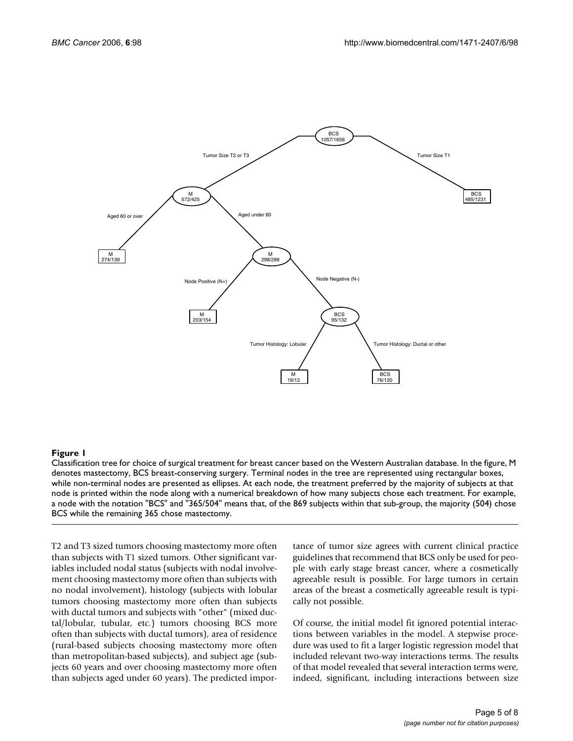

### Classification tree for choice of su **Figure 1** rgical treatment for breast cancer based on the Western Australian database

Classification tree for choice of surgical treatment for breast cancer based on the Western Australian database. In the figure, M denotes mastectomy, BCS breast-conserving surgery. Terminal nodes in the tree are represented using rectangular boxes, while non-terminal nodes are presented as ellipses. At each node, the treatment preferred by the majority of subjects at that node is printed within the node along with a numerical breakdown of how many subjects chose each treatment. For example, a node with the notation "BCS" and "365/504" means that, of the 869 subjects within that sub-group, the majority (504) chose BCS while the remaining 365 chose mastectomy.

T2 and T3 sized tumors choosing mastectomy more often than subjects with T1 sized tumors. Other significant variables included nodal status (subjects with nodal involvement choosing mastectomy more often than subjects with no nodal involvement), histology (subjects with lobular tumors choosing mastectomy more often than subjects with ductal tumors and subjects with "other" (mixed ductal/lobular, tubular, etc.) tumors choosing BCS more often than subjects with ductal tumors), area of residence (rural-based subjects choosing mastectomy more often than metropolitan-based subjects), and subject age (subjects 60 years and over choosing mastectomy more often than subjects aged under 60 years). The predicted impor-

tance of tumor size agrees with current clinical practice guidelines that recommend that BCS only be used for people with early stage breast cancer, where a cosmetically agreeable result is possible. For large tumors in certain areas of the breast a cosmetically agreeable result is typically not possible.

Of course, the initial model fit ignored potential interactions between variables in the model. A stepwise procedure was used to fit a larger logistic regression model that included relevant two-way interactions terms. The results of that model revealed that several interaction terms were, indeed, significant, including interactions between size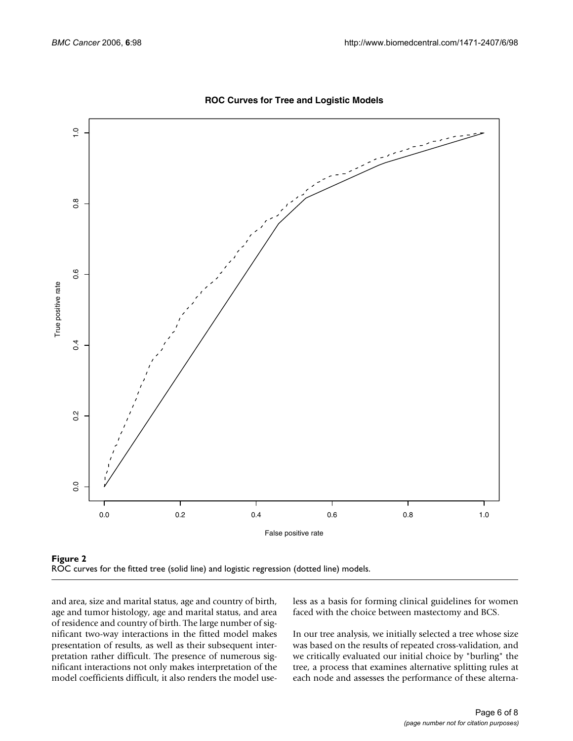

**ROC Curves for Tree and Logistic Models**



and area, size and marital status, age and country of birth, age and tumor histology, age and marital status, and area of residence and country of birth. The large number of significant two-way interactions in the fitted model makes presentation of results, as well as their subsequent interpretation rather difficult. The presence of numerous significant interactions not only makes interpretation of the model coefficients difficult, it also renders the model useless as a basis for forming clinical guidelines for women faced with the choice between mastectomy and BCS.

In our tree analysis, we initially selected a tree whose size was based on the results of repeated cross-validation, and we critically evaluated our initial choice by "burling" the tree, a process that examines alternative splitting rules at each node and assesses the performance of these alterna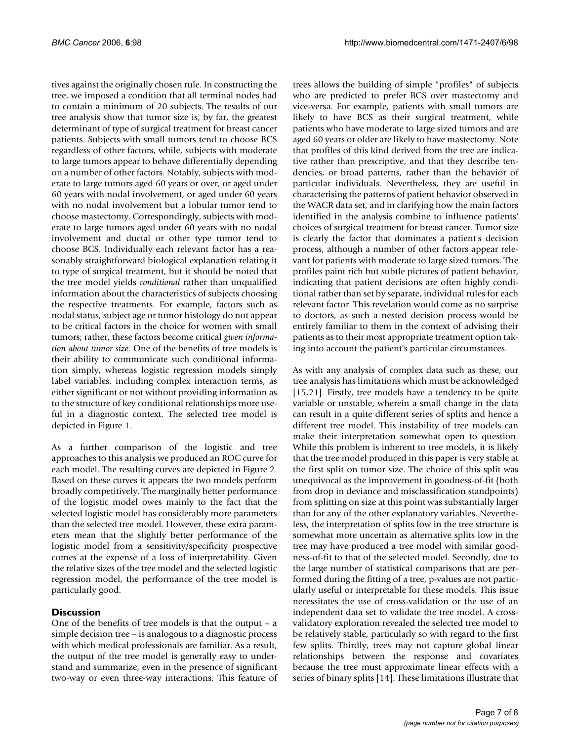tives against the originally chosen rule. In constructing the tree, we imposed a condition that all terminal nodes had to contain a minimum of 20 subjects. The results of our tree analysis show that tumor size is, by far, the greatest determinant of type of surgical treatment for breast cancer patients. Subjects with small tumors tend to choose BCS regardless of other factors, while, subjects with moderate to large tumors appear to behave differentially depending on a number of other factors. Notably, subjects with moderate to large tumors aged 60 years or over, or aged under 60 years with nodal involvement, or aged under 60 years with no nodal involvement but a lobular tumor tend to choose mastectomy. Correspondingly, subjects with moderate to large tumors aged under 60 years with no nodal involvement and ductal or other type tumor tend to choose BCS. Individually each relevant factor has a reasonably straightforward biological explanation relating it to type of surgical treatment, but it should be noted that the tree model yields *conditional* rather than unqualified information about the characteristics of subjects choosing the respective treatments. For example, factors such as nodal status, subject age or tumor histology do not appear to be critical factors in the choice for women with small tumors; rather, these factors become critical *given information about tumor size*. One of the benefits of tree models is their ability to communicate such conditional information simply, whereas logistic regression models simply label variables, including complex interaction terms, as either significant or not without providing information as to the structure of key conditional relationships more useful in a diagnostic context. The selected tree model is depicted in Figure 1.

As a further comparison of the logistic and tree approaches to this analysis we produced an ROC curve for each model. The resulting curves are depicted in Figure 2. Based on these curves it appears the two models perform broadly competitively. The marginally better performance of the logistic model owes mainly to the fact that the selected logistic model has considerably more parameters than the selected tree model. However, these extra parameters mean that the slightly better performance of the logistic model from a sensitivity/specificity prospective comes at the expense of a loss of interpretability. Given the relative sizes of the tree model and the selected logistic regression model, the performance of the tree model is particularly good.

# **Discussion**

One of the benefits of tree models is that the output – a simple decision tree – is analogous to a diagnostic process with which medical professionals are familiar. As a result, the output of the tree model is generally easy to understand and summarize, even in the presence of significant two-way or even three-way interactions. This feature of trees allows the building of simple "profiles" of subjects who are predicted to prefer BCS over mastectomy and vice-versa. For example, patients with small tumors are likely to have BCS as their surgical treatment, while patients who have moderate to large sized tumors and are aged 60 years or older are likely to have mastectomy. Note that profiles of this kind derived from the tree are indicative rather than prescriptive, and that they describe tendencies, or broad patterns, rather than the behavior of particular individuals. Nevertheless, they are useful in characterising the patterns of patient behavior observed in the WACR data set, and in clarifying how the main factors identified in the analysis combine to influence patients' choices of surgical treatment for breast cancer. Tumor size is clearly the factor that dominates a patient's decision process, although a number of other factors appear relevant for patients with moderate to large sized tumors. The profiles paint rich but subtle pictures of patient behavior, indicating that patient decisions are often highly conditional rather than set by separate, individual rules for each relevant factor. This revelation would come as no surprise to doctors, as such a nested decision process would be entirely familiar to them in the context of advising their patients as to their most appropriate treatment option taking into account the patient's particular circumstances.

As with any analysis of complex data such as these, our tree analysis has limitations which must be acknowledged [15,21]. Firstly, tree models have a tendency to be quite variable or unstable, wherein a small change in the data can result in a quite different series of splits and hence a different tree model. This instability of tree models can make their interpretation somewhat open to question. While this problem is inherent to tree models, it is likely that the tree model produced in this paper is very stable at the first split on tumor size. The choice of this split was unequivocal as the improvement in goodness-of-fit (both from drop in deviance and misclassification standpoints) from splitting on size at this point was substantially larger than for any of the other explanatory variables. Nevertheless, the interpretation of splits low in the tree structure is somewhat more uncertain as alternative splits low in the tree may have produced a tree model with similar goodness-of-fit to that of the selected model. Secondly, due to the large number of statistical comparisons that are performed during the fitting of a tree, p-values are not particularly useful or interpretable for these models. This issue necessitates the use of cross-validation or the use of an independent data set to validate the tree model. A crossvalidatory exploration revealed the selected tree model to be relatively stable, particularly so with regard to the first few splits. Thirdly, trees may not capture global linear relationships between the response and covariates because the tree must approximate linear effects with a series of binary splits [14]. These limitations illustrate that